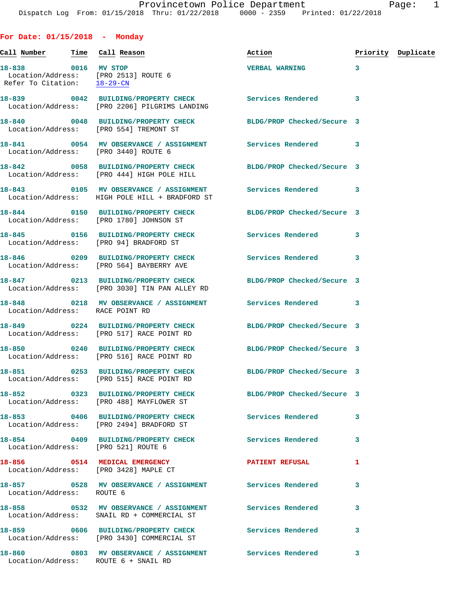## **For Date: 01/15/2018 - Monday**

| Call <u>Number</u>              | Time Call Reason                                                                                                | Action                     |   | Priority Duplicate |
|---------------------------------|-----------------------------------------------------------------------------------------------------------------|----------------------------|---|--------------------|
|                                 | 18-838 0016 MV STOP<br>Location/Address: [PRO 2513] ROUTE 6<br>Refer To Citation: 18-29-CN                      | <b>VERBAL WARNING</b>      | 3 |                    |
|                                 | Location/Address: [PRO 2206] PILGRIMS LANDING                                                                   |                            | 3 |                    |
|                                 | 18-840 0048 BUILDING/PROPERTY CHECK BLDG/PROP Checked/Secure 3<br>Location/Address: [PRO 554] TREMONT ST        |                            |   |                    |
|                                 | 18-841 0054 MV OBSERVANCE / ASSIGNMENT Services Rendered<br>Location/Address: [PRO 3440] ROUTE 6                |                            | 3 |                    |
|                                 | 18-842 0058 BUILDING/PROPERTY CHECK BLDG/PROP Checked/Secure 3<br>Location/Address: [PRO 444] HIGH POLE HILL    |                            |   |                    |
|                                 | 18-843 0105 MV OBSERVANCE / ASSIGNMENT Services Rendered<br>Location/Address: HIGH POLE HILL + BRADFORD ST      |                            | 3 |                    |
|                                 | 18-844 0150 BUILDING/PROPERTY CHECK BLDG/PROP Checked/Secure 3<br>Location/Address: [PRO 1780] JOHNSON ST       |                            |   |                    |
|                                 | 18-845 0156 BUILDING/PROPERTY CHECK<br>Location/Address: [PRO 94] BRADFORD ST                                   | <b>Services Rendered</b>   | 3 |                    |
|                                 | 18-846 		 0209 BUILDING/PROPERTY CHECK Services Rendered 3<br>Location/Address: [PRO 564] BAYBERRY AVE          |                            |   |                    |
|                                 | 18-847 0213 BUILDING/PROPERTY CHECK BLDG/PROP Checked/Secure 3<br>Location/Address: [PRO 3030] TIN PAN ALLEY RD |                            |   |                    |
| Location/Address: RACE POINT RD | 18-848 0218 MV OBSERVANCE / ASSIGNMENT Services Rendered 3                                                      |                            |   |                    |
|                                 | 18-849 0224 BUILDING/PROPERTY CHECK<br>Location/Address: [PRO 517] RACE POINT RD                                | BLDG/PROP Checked/Secure 3 |   |                    |
|                                 | 18-850 0240 BUILDING/PROPERTY CHECK<br>Location/Address: [PRO 516] RACE POINT RD                                | BLDG/PROP Checked/Secure 3 |   |                    |
|                                 | 18-851 0253 BUILDING/PROPERTY CHECK<br>Location/Address: [PRO 515] RACE POINT RD                                | BLDG/PROP Checked/Secure 3 |   |                    |
|                                 | 18-852 0323 BUILDING/PROPERTY CHECK<br>Location/Address: [PRO 488] MAYFLOWER ST                                 | BLDG/PROP Checked/Secure 3 |   |                    |
|                                 | 18-853 0406 BUILDING/PROPERTY CHECK Services Rendered<br>Location/Address: [PRO 2494] BRADFORD ST               |                            | 3 |                    |
|                                 | 18-854 0409 BUILDING/PROPERTY CHECK Services Rendered<br>Location/Address: [PRO 521] ROUTE 6                    |                            | 3 |                    |
|                                 | 18-856 0514 MEDICAL EMERGENCY<br>Location/Address: [PRO 3428] MAPLE CT                                          | <b>PATIENT REFUSAL</b>     | 1 |                    |
| Location/Address: ROUTE 6       | 18-857 0528 MV OBSERVANCE / ASSIGNMENT Services Rendered                                                        |                            | 3 |                    |
|                                 | 18-858 		 0532 MV OBSERVANCE / ASSIGNMENT Services Rendered<br>Location/Address: SNAIL RD + COMMERCIAL ST       |                            | 3 |                    |
|                                 | 18-859 0606 BUILDING/PROPERTY CHECK Services Rendered<br>Location/Address: [PRO 3430] COMMERCIAL ST             |                            | 3 |                    |
|                                 | 18-860 6803 MV OBSERVANCE / ASSIGNMENT Services Rendered<br>Location/Address: ROUTE 6 + SNAIL RD                |                            | 3 |                    |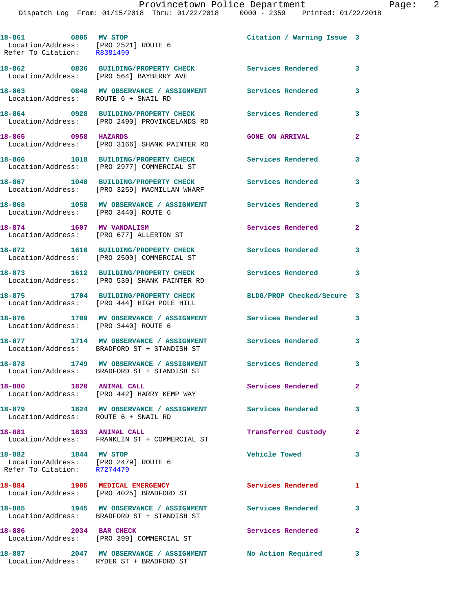**18-861 0805 MV STOP Citation / Warning Issue 3**  Location/Address: [PRO 2521] ROUTE 6 Refer To Citation: R8381490 **18-862 0836 BUILDING/PROPERTY CHECK Services Rendered 3**  Location/Address: [PRO 564] BAYBERRY AVE **18-863 0848 MV OBSERVANCE / ASSIGNMENT Services Rendered 3**  Location/Address: ROUTE 6 + SNAIL RD **18-864 0928 BUILDING/PROPERTY CHECK Services Rendered 3**  Location/Address: [PRO 2490] PROVINCELANDS RD **18-865 0958 HAZARDS GONE ON ARRIVAL 2**  Location/Address: [PRO 3166] SHANK PAINTER RD **18-866 1018 BUILDING/PROPERTY CHECK Services Rendered 3**  Location/Address: [PRO 2977] COMMERCIAL ST **18-867 1048 BUILDING/PROPERTY CHECK Services Rendered 3**  Location/Address: [PRO 3259] MACMILLAN WHARF **18-868 1058 MV OBSERVANCE / ASSIGNMENT Services Rendered 3**  Location/Address: [PRO 3440] ROUTE 6 **18-874 1607 MV VANDALISM Services Rendered 2**  Location/Address: [PRO 677] ALLERTON ST **18-872 1610 BUILDING/PROPERTY CHECK Services Rendered 3**  Location/Address: [PRO 2500] COMMERCIAL ST **18-873 1612 BUILDING/PROPERTY CHECK Services Rendered 3**  Location/Address: [PRO 530] SHANK PAINTER RD **18-875 1704 BUILDING/PROPERTY CHECK BLDG/PROP Checked/Secure 3**  Location/Address: [PRO 444] HIGH POLE HILL **18-876 1709 MV OBSERVANCE / ASSIGNMENT Services Rendered 3**  Location/Address: [PRO 3440] ROUTE 6 **18-877 1714 MV OBSERVANCE / ASSIGNMENT Services Rendered 3**  Location/Address: BRADFORD ST + STANDISH ST **18-878 1749 MV OBSERVANCE / ASSIGNMENT Services Rendered 3**  Location/Address: BRADFORD ST + STANDISH ST **18-880 1820 ANIMAL CALL Services Rendered 2**  Location/Address: [PRO 442] HARRY KEMP WAY **18-879 1824 MV OBSERVANCE / ASSIGNMENT Services Rendered 3**  Location/Address: ROUTE 6 + SNAIL RD **18-881 1833 ANIMAL CALL Transferred Custody 2**  Location/Address: FRANKLIN ST + COMMERCIAL ST **18-882 1844 MV STOP Vehicle Towed 3**  Location/Address: [PRO 2479] ROUTE 6 Refer To Citation: R7274479 **18-884** 1905 MEDICAL EMERGENCY Services Rendered 1 Location/Address: [PRO 4025] BRADFORD ST **18-885 1945 MV OBSERVANCE / ASSIGNMENT Services Rendered 3**  Location/Address: BRADFORD ST + STANDISH ST 18-886 2034 BAR CHECK **18-89 Services Rendered**  Location/Address: [PRO 399] COMMERCIAL ST **18-887 2047 MV OBSERVANCE / ASSIGNMENT No Action Required 3**  Location/Address: RYDER ST + BRADFORD ST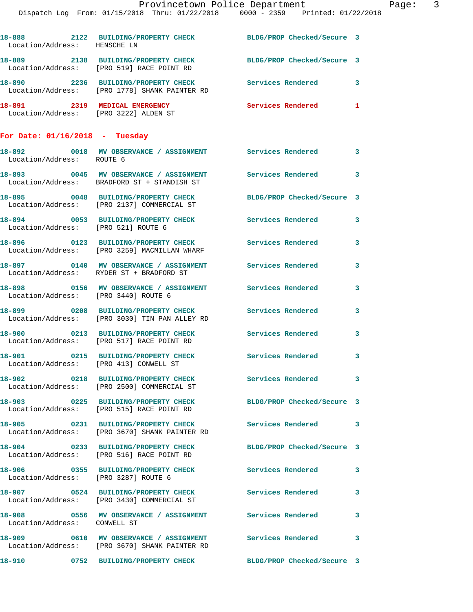|                                                                        | Provincetown Police Department                                                                              |                            |   |
|------------------------------------------------------------------------|-------------------------------------------------------------------------------------------------------------|----------------------------|---|
|                                                                        | Dispatch Log From: 01/15/2018 Thru: 01/22/2018 0000 - 2359 Printed: 01/22/2018                              |                            |   |
| Location/Address: HENSCHE LN                                           | 18-888 2122 BUILDING/PROPERTY CHECK BLDG/PROP Checked/Secure 3                                              |                            |   |
|                                                                        | 18-889 2138 BUILDING/PROPERTY CHECK<br>Location/Address: [PRO 519] RACE POINT RD                            | BLDG/PROP Checked/Secure 3 |   |
|                                                                        | 18-890 2236 BUILDING/PROPERTY CHECK Services Rendered<br>Location/Address: [PRO 1778] SHANK PAINTER RD      |                            | 3 |
| 18-891 2319 MEDICAL EMERGENCY<br>Location/Address: [PRO 3222] ALDEN ST |                                                                                                             | <b>Services Rendered</b>   | 1 |
| For Date: $01/16/2018$ - Tuesday                                       |                                                                                                             |                            |   |
| Location/Address: ROUTE 6                                              | 18-892 0018 MV OBSERVANCE / ASSIGNMENT Services Rendered                                                    |                            | 3 |
|                                                                        | 18-893 6045 MV OBSERVANCE / ASSIGNMENT Services Rendered<br>Location/Address: BRADFORD ST + STANDISH ST     |                            | 3 |
|                                                                        | 18-895 0048 BUILDING/PROPERTY CHECK<br>Location/Address: [PRO 2137] COMMERCIAL ST                           | BLDG/PROP Checked/Secure 3 |   |
| Location/Address: [PRO 521] ROUTE 6                                    | 18-894 0053 BUILDING/PROPERTY CHECK                                                                         | Services Rendered          | 3 |
|                                                                        | 18-896 0123 BUILDING/PROPERTY CHECK<br>Location/Address: [PRO 3259] MACMILLAN WHARF                         | <b>Services Rendered</b>   | 3 |
|                                                                        | 18-897 0140 MV OBSERVANCE / ASSIGNMENT Services Rendered<br>Location/Address: RYDER ST + BRADFORD ST        |                            | 3 |
| Location/Address: [PRO 3440] ROUTE 6                                   | 18-898 60156 MV OBSERVANCE / ASSIGNMENT Services Rendered                                                   |                            | 3 |
|                                                                        | 18-899 0208 BUILDING/PROPERTY CHECK<br>Location/Address: [PRO 3030] TIN PAN ALLEY RD                        | <b>Services Rendered</b>   | 3 |
|                                                                        | 18-900 0213 BUILDING/PROPERTY CHECK<br>Location/Address: [PRO 517] RACE POINT RD                            | <b>Services Rendered</b>   | 3 |
| 18-901<br>Location/Address: [PRO 413] CONWELL ST                       | 0215 BUILDING/PROPERTY CHECK Services Rendered                                                              |                            | 3 |
|                                                                        | 18-902 0218 BUILDING/PROPERTY CHECK<br>Location/Address: [PRO 2500] COMMERCIAL ST                           | <b>Services Rendered</b>   | 3 |
|                                                                        | 18-903 0225 BUILDING/PROPERTY CHECK<br>Location/Address: [PRO 515] RACE POINT RD                            | BLDG/PROP Checked/Secure 3 |   |
|                                                                        | 18-905 0231 BUILDING/PROPERTY CHECK<br>Location/Address: [PRO 3670] SHANK PAINTER RD                        | <b>Services Rendered</b>   | 3 |
|                                                                        | 18-904 0233 BUILDING/PROPERTY CHECK BLDG/PROP Checked/Secure 3<br>Location/Address: [PRO 516] RACE POINT RD |                            |   |
| Location/Address: [PRO 3287] ROUTE 6                                   | 18-906 0355 BUILDING/PROPERTY CHECK                                                                         | Services Rendered          | 3 |
|                                                                        | 18-907 0524 BUILDING/PROPERTY CHECK<br>Location/Address: [PRO 3430] COMMERCIAL ST                           | <b>Services Rendered</b>   | 3 |
| Location/Address: CONWELL ST                                           | 18-908 6556 MV OBSERVANCE / ASSIGNMENT Services Rendered                                                    |                            | 3 |
|                                                                        | 18-909 0610 MV OBSERVANCE / ASSIGNMENT Services Rendered<br>Location/Address: [PRO 3670] SHANK PAINTER RD   |                            | 3 |

**18-910 0752 BUILDING/PROPERTY CHECK BLDG/PROP Checked/Secure 3**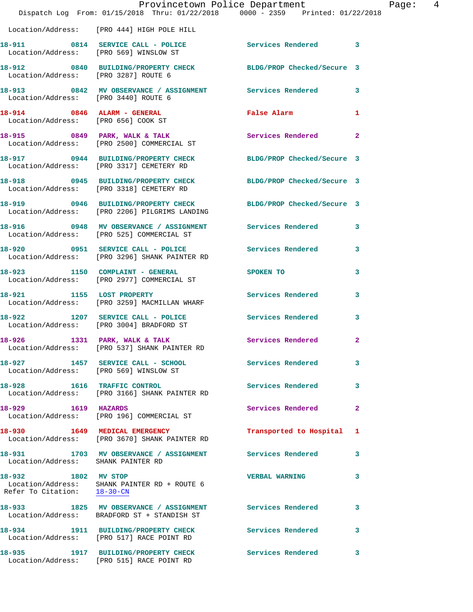|                                                    | Provincetown Police Department<br>Dispatch Log From: 01/15/2018 Thru: 01/22/2018 0000 - 2359 Printed: 01/22/2018 |                           | Page: 4                 |
|----------------------------------------------------|------------------------------------------------------------------------------------------------------------------|---------------------------|-------------------------|
|                                                    | Location/Address: [PRO 444] HIGH POLE HILL                                                                       |                           |                         |
|                                                    | 18-911 0814 SERVICE CALL - POLICE Services Rendered 3<br>Location/Address: [PRO 569] WINSLOW ST                  |                           |                         |
| Location/Address: [PRO 3287] ROUTE 6               | 18-912 0840 BUILDING/PROPERTY CHECK BLDG/PROP Checked/Secure 3                                                   |                           |                         |
|                                                    | 18-913 0842 MV OBSERVANCE / ASSIGNMENT Services Rendered 3<br>Location/Address: [PRO 3440] ROUTE 6               |                           |                         |
| Location/Address: [PRO 656] COOK ST                | 18-914 0846 ALARM - GENERAL                                                                                      | False Alarm               | $\mathbf{1}$            |
|                                                    |                                                                                                                  | Services Rendered 2       |                         |
|                                                    | 18-917 0944 BUILDING/PROPERTY CHECK BLDG/PROP Checked/Secure 3<br>Location/Address: [PRO 3317] CEMETERY RD       |                           |                         |
|                                                    | 18-918 0945 BUILDING/PROPERTY CHECK BLDG/PROP Checked/Secure 3<br>Location/Address: [PRO 3318] CEMETERY RD       |                           |                         |
|                                                    | 18-919 0946 BUILDING/PROPERTY CHECK BLDG/PROP Checked/Secure 3<br>Location/Address: [PRO 2206] PILGRIMS LANDING  |                           |                         |
|                                                    | 18-916 0948 MV OBSERVANCE / ASSIGNMENT Services Rendered 3<br>Location/Address: [PRO 525] COMMERCIAL ST          |                           |                         |
|                                                    | 18-920 0951 SERVICE CALL - POLICE Services Rendered<br>Location/Address: [PRO 3296] SHANK PAINTER RD             |                           | $\mathbf{3}$            |
|                                                    | 18-923 1150 COMPLAINT - GENERAL SPOKEN TO<br>Location/Address: [PRO 2977] COMMERCIAL ST                          |                           | $\mathbf{3}$            |
|                                                    | 18-921 1155 LOST PROPERTY<br>Location/Address: [PRO 3259] MACMILLAN WHARF                                        | Services Rendered 3       |                         |
|                                                    | 18-922 1207 SERVICE CALL - POLICE Services Rendered<br>Location/Address: [PRO 3004] BRADFORD ST                  |                           | $\overline{\mathbf{3}}$ |
|                                                    | 18-926 1331 PARK, WALK & TALK<br>Location/Address: [PRO 537] SHANK PAINTER RD                                    | Services Rendered         | $\mathbf{2}$            |
|                                                    | 18-927 1457 SERVICE CALL - SCHOOL<br>Location/Address: [PRO 569] WINSLOW ST                                      | Services Rendered         | $\mathbf{3}$            |
|                                                    | 18-928 1616 TRAFFIC CONTROL<br>Location/Address: [PRO 3166] SHANK PAINTER RD                                     | Services Rendered         | $\mathbf{3}$            |
| 18-929 1619 HAZARDS                                | Location/Address: [PRO 196] COMMERCIAL ST                                                                        | Services Rendered         | $\overline{2}$          |
|                                                    | 18-930 1649 MEDICAL EMERGENCY<br>Location/Address: [PRO 3670] SHANK PAINTER RD                                   | Transported to Hospital 1 |                         |
| Location/Address: SHANK PAINTER RD                 | 18-931 1703 MV OBSERVANCE / ASSIGNMENT Services Rendered 3                                                       |                           |                         |
| 18-932 1802 MV STOP<br>Refer To Citation: 18-30-CN | Location/Address: SHANK PAINTER RD + ROUTE 6                                                                     | <b>VERBAL WARNING</b>     | 3                       |
|                                                    | 18-933 1825 MV OBSERVANCE / ASSIGNMENT Services Rendered<br>Location/Address: BRADFORD ST + STANDISH ST          |                           | 3                       |
|                                                    | 18-934 1911 BUILDING/PROPERTY CHECK Services Rendered<br>Location/Address: [PRO 517] RACE POINT RD               |                           | $\mathbf{3}$            |
|                                                    | 18-935 1917 BUILDING/PROPERTY CHECK<br>Location/Address: [PRO 515] RACE POINT RD                                 | Services Rendered         | 3                       |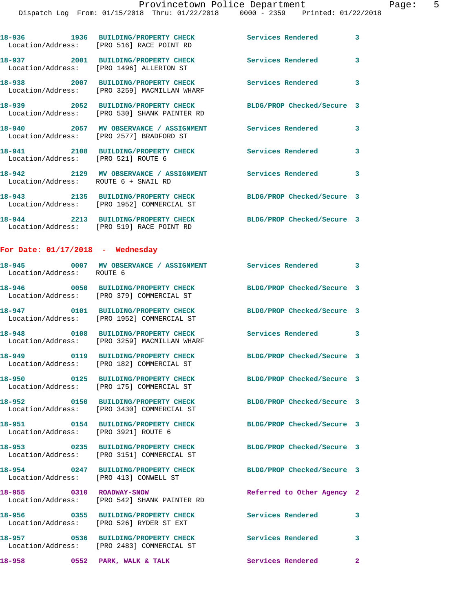|                                                  | 18-936 1936 BUILDING/PROPERTY CHECK<br>Location/Address: [PRO 516] RACE POINT RD    | Services Rendered 3        |              |
|--------------------------------------------------|-------------------------------------------------------------------------------------|----------------------------|--------------|
|                                                  | 18-937 2001 BUILDING/PROPERTY CHECK<br>Location/Address: [PRO 1496] ALLERTON ST     | Services Rendered          | 3            |
|                                                  | 18-938 2007 BUILDING/PROPERTY CHECK<br>Location/Address: [PRO 3259] MACMILLAN WHARF | <b>Services Rendered</b>   | 3            |
|                                                  | 18-939 2052 BUILDING/PROPERTY CHECK<br>Location/Address: [PRO 530] SHANK PAINTER RD | BLDG/PROP Checked/Secure 3 |              |
|                                                  | 18-940 2057 MV OBSERVANCE / ASSIGNMENT<br>Location/Address: [PRO 2577] BRADFORD ST  | <b>Services Rendered</b>   | 3            |
| 18-941<br>Location/Address: [PRO 521] ROUTE 6    | 2108 BUILDING/PROPERTY CHECK                                                        | Services Rendered          | 3            |
| Location/Address: ROUTE 6 + SNAIL RD             | 18-942 2129 MV OBSERVANCE / ASSIGNMENT Services Rendered                            |                            | 3            |
| 18-943                                           | 2135 BUILDING/PROPERTY CHECK<br>Location/Address: [PRO 1952] COMMERCIAL ST          | BLDG/PROP Checked/Secure 3 |              |
|                                                  | 18-944 2213 BUILDING/PROPERTY CHECK<br>Location/Address: [PRO 519] RACE POINT RD    | BLDG/PROP Checked/Secure 3 |              |
| For Date: $01/17/2018$ - Wednesday               |                                                                                     |                            |              |
| Location/Address: ROUTE 6                        | 18-945 0007 MV OBSERVANCE / ASSIGNMENT Services Rendered 3                          |                            |              |
|                                                  | 18-946 0050 BUILDING/PROPERTY CHECK<br>Location/Address: [PRO 379] COMMERCIAL ST    | BLDG/PROP Checked/Secure 3 |              |
|                                                  | 18-947 0101 BUILDING/PROPERTY CHECK<br>Location/Address: [PRO 1952] COMMERCIAL ST   | BLDG/PROP Checked/Secure 3 |              |
| 18-948                                           | 0108 BUILDING/PROPERTY CHECK<br>Location/Address: [PRO 3259] MACMILLAN WHARF        | Services Rendered 3        |              |
|                                                  | 18-949 0119 BUILDING/PROPERTY CHECK<br>Location/Address: [PRO 182] COMMERCIAL ST    | BLDG/PROP Checked/Secure 3 |              |
|                                                  | 18-950 0125 BUILDING/PROPERTY CHECK<br>Location/Address: [PRO 175] COMMERCIAL ST    | BLDG/PROP Checked/Secure 3 |              |
|                                                  | 18-952 0150 BUILDING/PROPERTY CHECK<br>Location/Address: [PRO 3430] COMMERCIAL ST   | BLDG/PROP Checked/Secure 3 |              |
| 18-951<br>Location/Address: [PRO 3921] ROUTE 6   | 0154 BUILDING/PROPERTY CHECK                                                        | BLDG/PROP Checked/Secure 3 |              |
|                                                  | 18-953 0235 BUILDING/PROPERTY CHECK<br>Location/Address: [PRO 3151] COMMERCIAL ST   | BLDG/PROP Checked/Secure 3 |              |
| 18-954<br>Location/Address: [PRO 413] CONWELL ST | 0247 BUILDING/PROPERTY CHECK                                                        | BLDG/PROP Checked/Secure 3 |              |
| 18-955 0310 ROADWAY-SNOW                         | Location/Address: [PRO 542] SHANK PAINTER RD                                        | Referred to Other Agency 2 |              |
|                                                  | 18-956 0355 BUILDING/PROPERTY CHECK<br>Location/Address: [PRO 526] RYDER ST EXT     | Services Rendered          | 3            |
|                                                  | 18-957 0536 BUILDING/PROPERTY CHECK<br>Location/Address: [PRO 2483] COMMERCIAL ST   | <b>Services Rendered</b>   | 3            |
| 18-958                                           | 0552 PARK, WALK & TALK                                                              | Services Rendered          | $\mathbf{2}$ |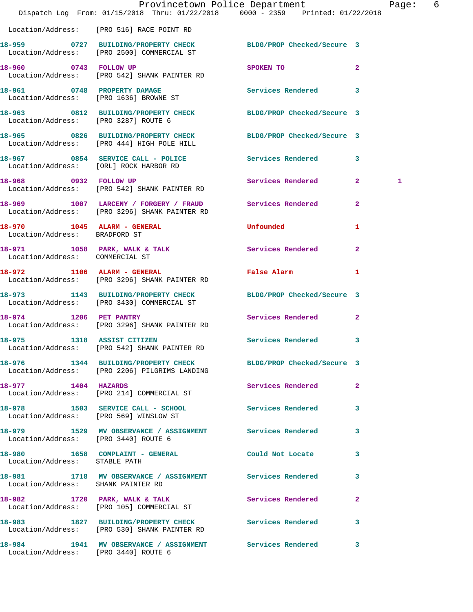|                                                              | Dispatch Log From: 01/15/2018 Thru: 01/22/2018 0000 - 2359 Printed: 01/22/2018                                  | Provincetown Police Department | Page: 6        |  |
|--------------------------------------------------------------|-----------------------------------------------------------------------------------------------------------------|--------------------------------|----------------|--|
|                                                              | Location/Address: [PRO 516] RACE POINT RD                                                                       |                                |                |  |
|                                                              | 18-959 0727 BUILDING/PROPERTY CHECK BLDG/PROP Checked/Secure 3<br>Location/Address: [PRO 2500] COMMERCIAL ST    |                                |                |  |
|                                                              | 18-960 0743 FOLLOW UP<br>Location/Address: [PRO 542] SHANK PAINTER RD                                           | SPOKEN TO                      | $\mathbf{2}$   |  |
|                                                              | 18-961 0748 PROPERTY DAMAGE<br>Location/Address: [PRO 1636] BROWNE ST                                           | Services Rendered 3            |                |  |
| Location/Address: [PRO 3287] ROUTE 6                         | 18-963 0812 BUILDING/PROPERTY CHECK BLDG/PROP Checked/Secure 3                                                  |                                |                |  |
|                                                              | 18-965 0826 BUILDING/PROPERTY CHECK BLDG/PROP Checked/Secure 3<br>Location/Address: [PRO 444] HIGH POLE HILL    |                                |                |  |
|                                                              | 18-967 0854 SERVICE CALL - POLICE Services Rendered 3<br>Location/Address: [ORL] ROCK HARBOR RD                 |                                |                |  |
| 18-968 0932 FOLLOW UP                                        | Location/Address: [PRO 542] SHANK PAINTER RD                                                                    | Services Rendered 2            | $\mathbf{1}$   |  |
|                                                              | 18-969 1007 LARCENY / FORGERY / FRAUD Services Rendered 2<br>Location/Address: [PRO 3296] SHANK PAINTER RD      |                                |                |  |
| 18-970 1045 ALARM - GENERAL<br>Location/Address: BRADFORD ST |                                                                                                                 | Unfounded                      | 1              |  |
| Location/Address: COMMERCIAL ST                              | 18-971 1058 PARK, WALK & TALK                                                                                   | Services Rendered              | $\overline{2}$ |  |
|                                                              | 18-972 1106 ALARM - GENERAL<br>Location/Address: [PRO 3296] SHANK PAINTER RD                                    | <b>False Alarm</b>             | 1              |  |
|                                                              | 18-973 1143 BUILDING/PROPERTY CHECK BLDG/PROP Checked/Secure 3<br>Location/Address: [PRO 3430] COMMERCIAL ST    |                                |                |  |
|                                                              | 18-974 1206 PET PANTRY<br>Location/Address: [PRO 3296] SHANK PAINTER RD                                         | Services Rendered 2            |                |  |
| 18-975                                                       | 1318 ASSIST CITIZEN Services Rendered 3<br>Location/Address: [PRO 542] SHANK PAINTER RD                         |                                |                |  |
|                                                              | 18-976 1344 BUILDING/PROPERTY CHECK BLDG/PROP Checked/Secure 3<br>Location/Address: [PRO 2206] PILGRIMS LANDING |                                |                |  |
| 18-977 1404 HAZARDS                                          | Location/Address: [PRO 214] COMMERCIAL ST                                                                       | Services Rendered 2            |                |  |
|                                                              | 18-978 1503 SERVICE CALL - SCHOOL Services Rendered 3<br>Location/Address: [PRO 569] WINSLOW ST                 |                                |                |  |
| Location/Address: [PRO 3440] ROUTE 6                         | 18-979 1529 MV OBSERVANCE / ASSIGNMENT Services Rendered 3                                                      |                                |                |  |
| Location/Address: STABLE PATH                                | 18-980 1658 COMPLAINT - GENERAL Could Not Locate                                                                |                                | 3              |  |
| Location/Address: SHANK PAINTER RD                           | 18-981 1718 MV OBSERVANCE / ASSIGNMENT Services Rendered 3                                                      |                                |                |  |
|                                                              | 18-982 1720 PARK, WALK & TALK<br>Location/Address: [PRO 105] COMMERCIAL ST                                      | Services Rendered              | $\mathbf{2}$   |  |
|                                                              | 18-983 1827 BUILDING/PROPERTY CHECK Services Rendered 3<br>Location/Address: [PRO 530] SHANK PAINTER RD         |                                |                |  |
| Location/Address: [PRO 3440] ROUTE 6                         | 18-984 1941 MV OBSERVANCE / ASSIGNMENT Services Rendered 3                                                      |                                |                |  |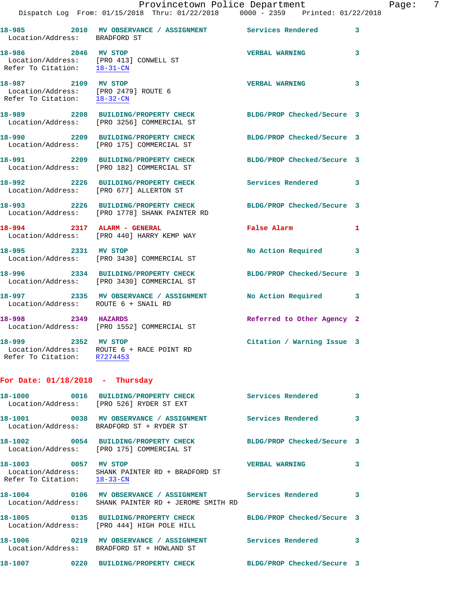|            |      | Provincetown Police Department                     |                                     |  | Page: | 7 |
|------------|------|----------------------------------------------------|-------------------------------------|--|-------|---|
|            |      | Dispatch Log From: $01/15/2018$ Thru: $01/22/2018$ | $0000 - 2359$ Printed: $01/22/2018$ |  |       |   |
| $18 - 985$ | 2010 | MV ORSEPVANCE / ASSICNMENT                         | Services Pendered                   |  |       |   |

| Location/Address: BRADFORD ST                                                                          |                                                                                      |                            | 3                          |
|--------------------------------------------------------------------------------------------------------|--------------------------------------------------------------------------------------|----------------------------|----------------------------|
| 18-986 2046 MV STOP<br>Refer To Citation: 18-31-CN                                                     | Location/Address: [PRO 413] CONWELL ST                                               | <b>VERBAL WARNING</b>      | 3                          |
| 18-987 2109 MV STOP<br>Location/Address: [PRO 2479] ROUTE 6<br>Refer To Citation: $\frac{18-32-CN}{2}$ |                                                                                      | <b>VERBAL WARNING</b>      | $\overline{\phantom{a}}$ 3 |
|                                                                                                        | 18-989 2208 BUILDING/PROPERTY CHECK<br>Location/Address: [PRO 3256] COMMERCIAL ST    | BLDG/PROP Checked/Secure 3 |                            |
|                                                                                                        | 18-990 2209 BUILDING/PROPERTY CHECK<br>Location/Address: [PRO 175] COMMERCIAL ST     | BLDG/PROP Checked/Secure 3 |                            |
|                                                                                                        | 18-991 2209 BUILDING/PROPERTY CHECK<br>Location/Address: [PRO 182] COMMERCIAL ST     | BLDG/PROP Checked/Secure 3 |                            |
|                                                                                                        | 18-992 2226 BUILDING/PROPERTY CHECK<br>Location/Address: [PRO 677] ALLERTON ST       | <b>Services Rendered</b>   | $\overline{\phantom{a}}$ 3 |
|                                                                                                        | 18-993 2226 BUILDING/PROPERTY CHECK<br>Location/Address: [PRO 1778] SHANK PAINTER RD | BLDG/PROP Checked/Secure 3 |                            |
| 18-994 2317 ALARM - GENERAL                                                                            | Location/Address: [PRO 440] HARRY KEMP WAY                                           | <b>False Alarm</b>         | $\mathbf{1}$               |
| 18-995 2331 MV STOP                                                                                    | Location/Address: [PRO 3430] COMMERCIAL ST                                           | No Action Required 3       |                            |
|                                                                                                        | 18-996 2334 BUILDING/PROPERTY CHECK<br>Location/Address: [PRO 3430] COMMERCIAL ST    | BLDG/PROP Checked/Secure 3 |                            |
| Location/Address: ROUTE 6 + SNAIL RD                                                                   | 18-997 2335 MV OBSERVANCE / ASSIGNMENT                                               | No Action Required 3       |                            |
| 18-998 2349 HAZARDS                                                                                    | Location/Address: [PRO 1552] COMMERCIAL ST                                           | Referred to Other Agency 2 |                            |
| 18-999 2352 MV STOP                                                                                    |                                                                                      | Citation / Warning Issue 3 |                            |

 Location/Address: ROUTE 6 + RACE POINT RD Refer To Citation: R7274453

**For Date: 01/18/2018 - Thursday**

|                                             | 18-1000 0016 BUILDING/PROPERTY CHECK Services Rendered<br>Location/Address: [PRO 526] RYDER ST EXT                   |                            | 3 |
|---------------------------------------------|----------------------------------------------------------------------------------------------------------------------|----------------------------|---|
|                                             | Location/Address: BRADFORD ST + RYDER ST                                                                             |                            | 3 |
|                                             | 18-1002  0054 BUILDING/PROPERTY CHECK<br>Location/Address: [PRO 175] COMMERCIAL ST                                   | BLDG/PROP Checked/Secure 3 |   |
| 18-1003 0057<br>Refer To Citation: 18-33-CN | <b>MV STOP</b><br>Location/Address: SHANK PAINTER RD + BRADFORD ST                                                   | <b>VERBAL WARNING</b>      | 3 |
|                                             | 18-1004 0106 MV OBSERVANCE / ASSIGNMENT Services Rendered<br>Location/Address: SHANK PAINTER RD + JEROME SMITH RD    |                            | 3 |
|                                             | 18-1005   0135 BUILDING/PROPERTY CHECK<br>Location/Address: [PRO 444] HIGH POLE HILL                                 | BLDG/PROP Checked/Secure 3 |   |
|                                             | 18-1006       0219   MV OBSERVANCE / ASSIGNMENT      Services Rendered<br>Location/Address: BRADFORD ST + HOWLAND ST |                            | 3 |
| 18-1007                                     | 0220 BUILDING/PROPERTY CHECK BLDG/PROP Checked/Secure 3                                                              |                            |   |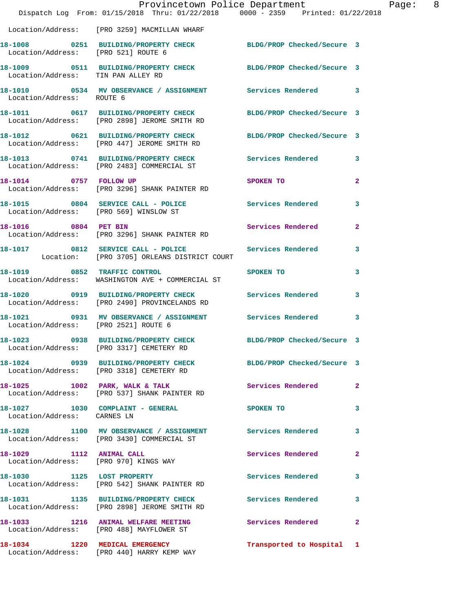|                                      | Dispatch Log From: 01/15/2018 Thru: 01/22/2018 0000 - 2359 Printed: 01/22/2018                                 | Provincetown Police Department | Page: 8      |
|--------------------------------------|----------------------------------------------------------------------------------------------------------------|--------------------------------|--------------|
|                                      | Location/Address: [PRO 3259] MACMILLAN WHARF                                                                   |                                |              |
| Location/Address: [PRO 521] ROUTE 6  | 18-1008 0251 BUILDING/PROPERTY CHECK BLDG/PROP Checked/Secure 3                                                |                                |              |
| Location/Address: TIN PAN ALLEY RD   | 18-1009 0511 BUILDING/PROPERTY CHECK BLDG/PROP Checked/Secure 3                                                |                                |              |
| Location/Address: ROUTE 6            | 18-1010 0534 MV OBSERVANCE / ASSIGNMENT Services Rendered 3                                                    |                                |              |
|                                      | 18-1011 0617 BUILDING/PROPERTY CHECK<br>Location/Address: [PRO 2898] JEROME SMITH RD                           | BLDG/PROP Checked/Secure 3     |              |
|                                      | 18-1012 0621 BUILDING/PROPERTY CHECK BLDG/PROP Checked/Secure 3<br>Location/Address: [PRO 447] JEROME SMITH RD |                                |              |
|                                      | 18-1013 0741 BUILDING/PROPERTY CHECK Services Rendered 3<br>Location/Address: [PRO 2483] COMMERCIAL ST         |                                |              |
|                                      | 18-1014 0757 FOLLOW UP<br>Location/Address: [PRO 3296] SHANK PAINTER RD                                        | SPOKEN TO                      | $\mathbf{2}$ |
|                                      | 18-1015 0804 SERVICE CALL - POLICE Services Rendered 3<br>Location/Address: [PRO 569] WINSLOW ST               |                                |              |
| 18-1016 0804 PET BIN                 | Location/Address: [PRO 3296] SHANK PAINTER RD                                                                  | Services Rendered              | $\mathbf{2}$ |
|                                      | 18-1017 0812 SERVICE CALL - POLICE Services Rendered 3<br>Location: [PRO 3705] ORLEANS DISTRICT COURT          |                                |              |
|                                      | 18-1019 0852 TRAFFIC CONTROL<br>Location/Address: WASHINGTON AVE + COMMERCIAL ST                               | SPOKEN TO                      | 3            |
|                                      | 18-1020 0919 BUILDING/PROPERTY CHECK Services Rendered 3<br>Location/Address: [PRO 2490] PROVINCELANDS RD      |                                |              |
| Location/Address: [PRO 2521] ROUTE 6 | 18-1021 0931 MV OBSERVANCE / ASSIGNMENT Services Rendered 3                                                    |                                |              |
| 18-1023                              | 0938 BUILDING/PROPERTY CHECK BLDG/PROP Checked/Secure 3<br>Location/Address: [PRO 3317] CEMETERY RD            |                                |              |
|                                      | 18-1024 0939 BUILDING/PROPERTY CHECK BLDG/PROP Checked/Secure 3<br>Location/Address: [PRO 3318] CEMETERY RD    |                                |              |
|                                      | 18-1025 1002 PARK, WALK & TALK<br>Location/Address: [PRO 537] SHANK PAINTER RD                                 | Services Rendered 2            |              |
| Location/Address: CARNES LN          | 18-1027 1030 COMPLAINT - GENERAL                                                                               | SPOKEN TO                      | 3            |
|                                      | 18-1028 1100 MV OBSERVANCE / ASSIGNMENT Services Rendered 3<br>Location/Address: [PRO 3430] COMMERCIAL ST      |                                |              |
|                                      | 18-1029 1112 ANIMAL CALL<br>Location/Address: [PRO 970] KINGS WAY                                              | Services Rendered              | $\mathbf{2}$ |
|                                      | 18-1030 1125 LOST PROPERTY<br>Location/Address: [PRO 542] SHANK PAINTER RD                                     | Services Rendered 3            |              |
|                                      | 18-1031 1135 BUILDING/PROPERTY CHECK<br>Location/Address: [PRO 2898] JEROME SMITH RD                           | <b>Services Rendered</b>       | 3            |
|                                      | 18-1033 1216 ANIMAL WELFARE MEETING Services Rendered 2<br>Location/Address: [PRO 488] MAYFLOWER ST            |                                |              |
|                                      | 18-1034 1220 MEDICAL EMERGENCY<br>Location/Address: [PRO 440] HARRY KEMP WAY                                   | Transported to Hospital 1      |              |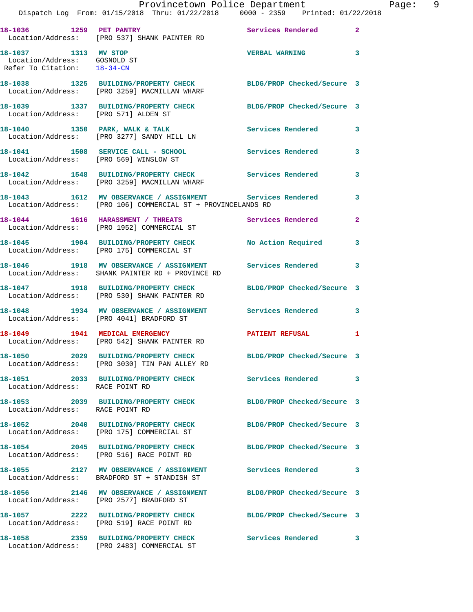|                                                                                     | Provincetown Police Department<br>Dispatch Log From: 01/15/2018 Thru: 01/22/2018 0000 - 2359 Printed: 01/22/2018            |                         | Page: 9 |  |
|-------------------------------------------------------------------------------------|-----------------------------------------------------------------------------------------------------------------------------|-------------------------|---------|--|
|                                                                                     |                                                                                                                             |                         |         |  |
|                                                                                     | 18-1036 1259 PET PANTRY 18-1036 Services Rendered 2<br>Location/Address: [PRO 537] SHANK PAINTER RD                         |                         |         |  |
| 18-1037 1313 MV STOP<br>Location/Address: GOSNOLD ST<br>Refer To Citation: 18-34-CN |                                                                                                                             | <b>VERBAL WARNING</b> 3 |         |  |
|                                                                                     | 18-1038 1325 BUILDING/PROPERTY CHECK BLDG/PROP Checked/Secure 3<br>Location/Address: [PRO 3259] MACMILLAN WHARF             |                         |         |  |
| Location/Address: [PRO 571] ALDEN ST                                                | 18-1039 1337 BUILDING/PROPERTY CHECK BLDG/PROP Checked/Secure 3                                                             |                         |         |  |
|                                                                                     | 18-1040 1350 PARK, WALK & TALK Services Rendered 3<br>Location/Address: [PRO 3277] SANDY HILL LN                            |                         |         |  |
|                                                                                     | 18-1041 1508 SERVICE CALL - SCHOOL Services Rendered 3<br>Location/Address: [PRO 569] WINSLOW ST                            |                         |         |  |
|                                                                                     | 18-1042 1548 BUILDING/PROPERTY CHECK Services Rendered 3<br>Location/Address: [PRO 3259] MACMILLAN WHARF                    |                         |         |  |
|                                                                                     | 18-1043 1612 MV OBSERVANCE / ASSIGNMENT Services Rendered 3<br>Location/Address: [PRO 106] COMMERCIAL ST + PROVINCELANDS RD |                         |         |  |
|                                                                                     | 18-1044 1616 HARASSMENT / THREATS Services Rendered 2<br>Location/Address: [PRO 1952] COMMERCIAL ST                         |                         |         |  |
|                                                                                     | 18-1045 1904 BUILDING/PROPERTY CHECK No Action Required 3<br>Location/Address: [PRO 175] COMMERCIAL ST                      |                         |         |  |
|                                                                                     |                                                                                                                             |                         |         |  |
|                                                                                     | 18-1047 1918 BUILDING/PROPERTY CHECK BLDG/PROP Checked/Secure 3<br>Location/Address: [PRO 530] SHANK PAINTER RD             |                         |         |  |
|                                                                                     | 18-1048 1934 MV OBSERVANCE / ASSIGNMENT Services Rendered 3<br>Location/Address: [PRO 4041] BRADFORD ST                     |                         |         |  |
|                                                                                     | 18-1049 1941 MEDICAL EMERGENCY 1 PATIENT REFUSAL 1<br>Location/Address: [PRO 542] SHANK PAINTER RD                          |                         |         |  |
|                                                                                     | 18-1050 2029 BUILDING/PROPERTY CHECK BLDG/PROP Checked/Secure 3<br>Location/Address: [PRO 3030] TIN PAN ALLEY RD            |                         |         |  |
| Location/Address: RACE POINT RD                                                     | 18-1051 2033 BUILDING/PROPERTY CHECK Services Rendered 3                                                                    |                         |         |  |
| Location/Address: RACE POINT RD                                                     | 18-1053 2039 BUILDING/PROPERTY CHECK BLDG/PROP Checked/Secure 3                                                             |                         |         |  |
|                                                                                     | 18-1052 2040 BUILDING/PROPERTY CHECK BLDG/PROP Checked/Secure 3<br>Location/Address: [PRO 175] COMMERCIAL ST                |                         |         |  |
|                                                                                     | 18-1054 2045 BUILDING/PROPERTY CHECK BLDG/PROP Checked/Secure 3<br>Location/Address: [PRO 516] RACE POINT RD                |                         |         |  |
|                                                                                     | 18-1055 2127 MV OBSERVANCE / ASSIGNMENT Services Rendered 3<br>Location/Address: BRADFORD ST + STANDISH ST                  |                         |         |  |
|                                                                                     | 18-1056 2146 MV OBSERVANCE / ASSIGNMENT BLDG/PROP Checked/Secure 3<br>Location/Address: [PRO 2577] BRADFORD ST              |                         |         |  |
|                                                                                     | 18-1057 					2222 BUILDING/PROPERTY CHECK 										BLDG/PROP Checked/Secure 3<br>Location/Address: [PRO 519] RACE POINT RD |                         |         |  |
|                                                                                     | 18-1058 2359 BUILDING/PROPERTY CHECK<br>Location/Address: [PRO 2483] COMMERCIAL ST                                          | Services Rendered 3     |         |  |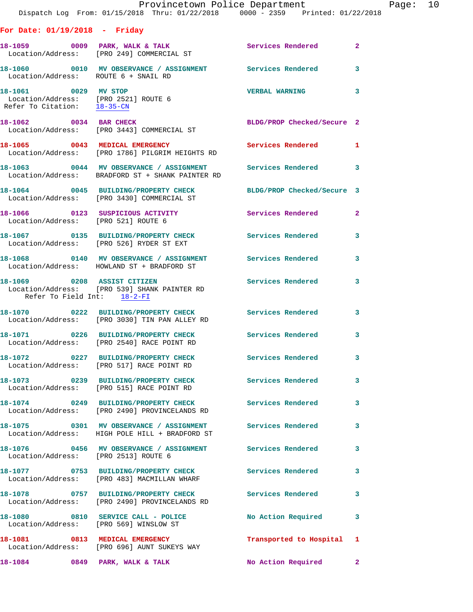|                                                            | Provincetown Police Department<br>Dispatch Log From: 01/15/2018 Thru: 01/22/2018 0000 - 2359 Printed: 01/22/2018       |                            |              |
|------------------------------------------------------------|------------------------------------------------------------------------------------------------------------------------|----------------------------|--------------|
| For Date: $01/19/2018$ - Friday                            |                                                                                                                        |                            |              |
|                                                            |                                                                                                                        |                            | $\mathbf{2}$ |
| Location/Address: ROUTE 6 + SNAIL RD                       | 18-1060  0010 MV OBSERVANCE / ASSIGNMENT Services Rendered                                                             |                            | 3            |
| Refer To Citation: 18-35-CN                                |                                                                                                                        | <b>VERBAL WARNING</b>      | 3            |
|                                                            | 18-1062 0034 BAR CHECK<br>Location/Address: [PRO 3443] COMMERCIAL ST                                                   | BLDG/PROP Checked/Secure 2 |              |
|                                                            | 18-1065 0043 MEDICAL EMERGENCY<br>Location/Address: [PRO 1786] PILGRIM HEIGHTS RD                                      | Services Rendered 1        |              |
|                                                            | 18-1063 0044 MV OBSERVANCE / ASSIGNMENT Services Rendered<br>Location/Address: BRADFORD ST + SHANK PAINTER RD          |                            | 3            |
|                                                            | 18-1064 0045 BUILDING/PROPERTY CHECK BLDG/PROP Checked/Secure 3<br>Location/Address: [PRO 3430] COMMERCIAL ST          |                            |              |
| Location/Address: [PRO 521] ROUTE 6                        | 18-1066  0123  SUSPICIOUS ACTIVITY  Services Rendered                                                                  |                            | $\mathbf{2}$ |
|                                                            | 18-1067 0135 BUILDING/PROPERTY CHECK Services Rendered<br>Location/Address: [PRO 526] RYDER ST EXT                     |                            | 3            |
|                                                            | 18-1068      0140   MV OBSERVANCE / ASSIGNMENT       Services Rendered<br>Location/Address:   HOWLAND ST + BRADFORD ST |                            | 3            |
| 18-1069 0208 ASSIST CITIZEN<br>Refer To Field Int: 18-2-FI | Location/Address: [PRO 539] SHANK PAINTER RD                                                                           | Services Rendered          | 3            |
|                                                            | 18-1070 0222 BUILDING/PROPERTY CHECK Services Rendered<br>Location/Address: [PRO 3030] TIN PAN ALLEY RD                |                            | 3            |
|                                                            | 18-1071 0226 BUILDING/PROPERTY CHECK Services Rendered<br>Location/Address: [PRO 2540] RACE POINT RD                   |                            | 3            |
|                                                            | 18-1072 		 0227 BUILDING/PROPERTY CHECK Services Rendered<br>Location/Address: [PRO 517] RACE POINT RD                 |                            | 3            |
|                                                            | 18-1073 0239 BUILDING/PROPERTY CHECK Services Rendered<br>Location/Address: [PRO 515] RACE POINT RD                    |                            | 3            |
|                                                            | 18-1074 0249 BUILDING/PROPERTY CHECK Services Rendered<br>Location/Address: [PRO 2490] PROVINCELANDS RD                |                            | 3            |
|                                                            | 18-1075 0301 MV OBSERVANCE / ASSIGNMENT Services Rendered<br>Location/Address: HIGH POLE HILL + BRADFORD ST            |                            | 3            |
|                                                            | 18-1076  0456 MV OBSERVANCE / ASSIGNMENT  Services Rendered Location/Address: [PRO 2513] ROUTE 6                       |                            | 3            |
|                                                            | 18-1077 0753 BUILDING/PROPERTY CHECK<br>Location/Address: [PRO 483] MACMILLAN WHARF                                    | Services Rendered          | 3            |
|                                                            | 18-1078 0757 BUILDING/PROPERTY CHECK<br>Location/Address: [PRO 2490] PROVINCELANDS RD                                  | <b>Services Rendered</b>   | 3            |
| Location/Address: [PRO 569] WINSLOW ST                     | 18-1080 0810 SERVICE CALL - POLICE                                                                                     | No Action Required         | 3            |
|                                                            | 18-1081 0813 MEDICAL EMERGENCY<br>Location/Address: [PRO 696] AUNT SUKEYS WAY                                          | Transported to Hospital 1  |              |
|                                                            | 18-1084 0849 PARK, WALK & TALK                                                                                         | <b>No Action Required</b>  | $\mathbf{2}$ |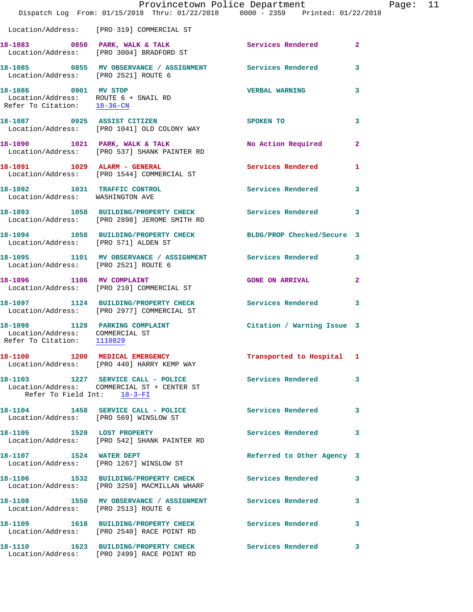|                                                                                                 | Provincetown Police Department                                                                         | Dispatch Log From: 01/15/2018 Thru: 01/22/2018 0000 - 2359 Printed: 01/22/2018 |              |
|-------------------------------------------------------------------------------------------------|--------------------------------------------------------------------------------------------------------|--------------------------------------------------------------------------------|--------------|
|                                                                                                 | Location/Address: [PRO 319] COMMERCIAL ST                                                              |                                                                                |              |
|                                                                                                 | 18-1083 0850 PARK, WALK & TALK<br>Location/Address: [PRO 3004] BRADFORD ST                             | Services Rendered                                                              | $\mathbf{2}$ |
| Location/Address: [PRO 2521] ROUTE 6                                                            | 18-1085  0855 MV OBSERVANCE / ASSIGNMENT  Services Rendered                                            |                                                                                | 3            |
| 18-1086 0901 MV STOP                                                                            | Location/Address: ROUTE 6 + SNAIL RD<br>Refer To Citation: <u>18-36-CN</u>                             | <b>VERBAL WARNING</b>                                                          | 3            |
|                                                                                                 | 18-1087 0925 ASSIST CITIZEN<br>Location/Address: [PRO 1041] OLD COLONY WAY                             | SPOKEN TO                                                                      | 3            |
|                                                                                                 | 18-1090 1021 PARK, WALK & TALK<br>Location/Address: [PRO 537] SHANK PAINTER RD                         | No Action Required                                                             | $\mathbf{2}$ |
|                                                                                                 | 18-1091 1029 ALARM - GENERAL<br>Location/Address: [PRO 1544] COMMERCIAL ST                             | <b>Services Rendered</b>                                                       | 1            |
| 18-1092 1031 TRAFFIC CONTROL<br>Location/Address: WASHINGTON AVE                                |                                                                                                        | Services Rendered                                                              | 3            |
|                                                                                                 | 18-1093 1058 BUILDING/PROPERTY CHECK Services Rendered<br>Location/Address: [PRO 2898] JEROME SMITH RD |                                                                                | 3            |
| Location/Address: [PRO 571] ALDEN ST                                                            | 18-1094 1058 BUILDING/PROPERTY CHECK                                                                   | BLDG/PROP Checked/Secure 3                                                     |              |
| Location/Address: [PRO 2521] ROUTE 6                                                            |                                                                                                        | 18-1095 1101 MV OBSERVANCE / ASSIGNMENT Services Rendered                      | 3            |
| 18-1096 1106 MV COMPLAINT                                                                       | Location/Address: [PRO 210] COMMERCIAL ST                                                              | <b>GONE ON ARRIVAL</b>                                                         | $\mathbf{2}$ |
|                                                                                                 | Location/Address: [PRO 2977] COMMERCIAL ST                                                             | 18-1097 1124 BUILDING/PROPERTY CHECK Services Rendered                         | 3            |
| 18-1098 1128 PARKING COMPLAINT<br>Location/Address: COMMERCIAL ST<br>Refer To Citation: 1110829 |                                                                                                        | Citation / Warning Issue 3                                                     |              |
|                                                                                                 | 18-1100 1200 MEDICAL EMERGENCY<br>Location/Address: [PRO 440] HARRY KEMP WAY                           | Transported to Hospital 1                                                      |              |
| Refer To Field Int: 18-3-FI                                                                     | 18-1103 1227 SERVICE CALL - POLICE<br>Location/Address: COMMERCIAL ST + CENTER ST                      | <b>Services Rendered</b>                                                       | 3            |
| Location/Address: [PRO 569] WINSLOW ST                                                          | 18-1104 1458 SERVICE CALL - POLICE                                                                     | <b>Services Rendered</b>                                                       | 3            |
|                                                                                                 | 18-1105 1520 LOST PROPERTY<br>Location/Address: [PRO 542] SHANK PAINTER RD                             | <b>Services Rendered</b>                                                       | 3            |
| 18-1107 1524 WATER DEPT                                                                         | Location/Address: [PRO 1267] WINSLOW ST                                                                | Referred to Other Agency 3                                                     |              |
|                                                                                                 | 18-1106 1532 BUILDING/PROPERTY CHECK<br>Location/Address: [PRO 3259] MACMILLAN WHARF                   | Services Rendered                                                              | 3            |
| Location/Address: [PRO 2513] ROUTE 6                                                            |                                                                                                        | 18-1108 1550 MV OBSERVANCE / ASSIGNMENT Services Rendered                      | 3            |
|                                                                                                 | 18-1109 1618 BUILDING/PROPERTY CHECK<br>Location/Address: [PRO 2540] RACE POINT RD                     | <b>Services Rendered</b>                                                       | 3            |
|                                                                                                 | 18-1110 1623 BUILDING/PROPERTY CHECK<br>Location/Address: [PRO 2499] RACE POINT RD                     | Services Rendered                                                              | 3            |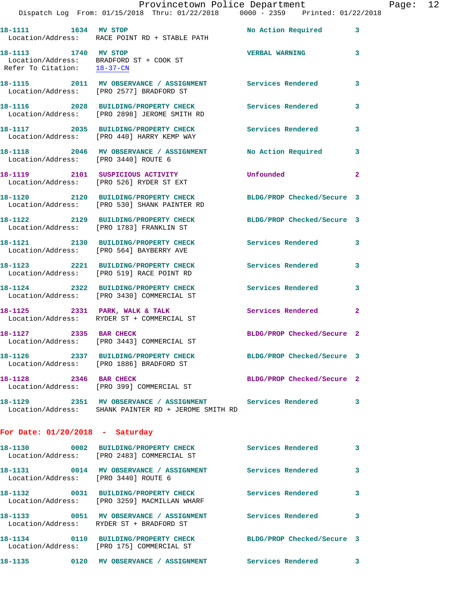|                                                     | Provincetown Police Department<br>Dispatch Log From: 01/15/2018 Thru: 01/22/2018 0000 - 2359 Printed: 01/22/2018  |                            |              |
|-----------------------------------------------------|-------------------------------------------------------------------------------------------------------------------|----------------------------|--------------|
|                                                     |                                                                                                                   |                            |              |
| 18-1111 1634 MV STOP                                | Location/Address: RACE POINT RD + STABLE PATH                                                                     | <b>No Action Required</b>  | 3            |
| 18-1113 1740 MV STOP<br>Refer To Citation: 18-37-CN | Location/Address: BRADFORD ST + COOK ST                                                                           | <b>VERBAL WARNING</b>      | 3            |
|                                                     | 18-1115 2011 MV OBSERVANCE / ASSIGNMENT Services Rendered<br>Location/Address: [PRO 2577] BRADFORD ST             |                            | 3            |
|                                                     | 18-1116 2028 BUILDING/PROPERTY CHECK<br>Location/Address: [PRO 2898] JEROME SMITH RD                              | <b>Services Rendered</b>   | 3            |
|                                                     | 18-1117 2035 BUILDING/PROPERTY CHECK Services Rendered<br>Location/Address: [PRO 440] HARRY KEMP WAY              |                            | 3            |
| Location/Address: [PRO 3440] ROUTE 6                | 18-1118 2046 MV OBSERVANCE / ASSIGNMENT                                                                           | No Action Required         | 3            |
|                                                     | 18-1119 2101 SUSPICIOUS ACTIVITY<br>Location/Address: [PRO 526] RYDER ST EXT                                      | Unfounded                  | $\mathbf{2}$ |
|                                                     | 18-1120 2120 BUILDING/PROPERTY CHECK<br>Location/Address: [PRO 530] SHANK PAINTER RD                              | BLDG/PROP Checked/Secure 3 |              |
|                                                     | 18-1122 2129 BUILDING/PROPERTY CHECK<br>Location/Address: [PRO 1783] FRANKLIN ST                                  | BLDG/PROP Checked/Secure 3 |              |
|                                                     | 18-1121 2130 BUILDING/PROPERTY CHECK<br>Location/Address: [PRO 564] BAYBERRY AVE                                  | <b>Services Rendered</b>   | 3            |
|                                                     | 18-1123 2221 BUILDING/PROPERTY CHECK<br>Location/Address: [PRO 519] RACE POINT RD                                 | Services Rendered          | 3            |
|                                                     | 18-1124 2322 BUILDING/PROPERTY CHECK<br>Location/Address: [PRO 3430] COMMERCIAL ST                                | <b>Services Rendered</b>   | 3            |
|                                                     | 18-1125 2331 PARK, WALK & TALK<br>Location/Address: RYDER ST + COMMERCIAL ST                                      | Services Rendered          | $\mathbf{2}$ |
| 18-1127 2335 BAR CHECK                              | Location/Address: [PRO 3443] COMMERCIAL ST                                                                        | BLDG/PROP Checked/Secure 2 |              |
|                                                     | 18-1126 2337 BUILDING/PROPERTY CHECK<br>Location/Address: [PRO 1886] BRADFORD ST                                  | BLDG/PROP Checked/Secure 3 |              |
| 18-1128 2346 BAR CHECK                              | Location/Address: [PRO 399] COMMERCIAL ST                                                                         | BLDG/PROP Checked/Secure 2 |              |
|                                                     | 18-1129 2351 MV OBSERVANCE / ASSIGNMENT Services Rendered<br>Location/Address: SHANK PAINTER RD + JEROME SMITH RD |                            | 3            |
| For Date: $01/20/2018$ - Saturday                   |                                                                                                                   |                            |              |
|                                                     | 18-1130 0002 BUILDING/PROPERTY CHECK<br>Location/Address: [PRO 2483] COMMERCIAL ST                                | Services Rendered          | 3            |
| Location/Address: [PRO 3440] ROUTE 6                | 18-1131 0014 MV OBSERVANCE / ASSIGNMENT Services Rendered                                                         |                            | 3            |
|                                                     | 18-1132 0031 BUILDING/PROPERTY CHECK<br>Location/Address: [PRO 3259] MACMILLAN WHARF                              | <b>Services Rendered</b>   | 3            |
|                                                     | 18-1133 6051 MV OBSERVANCE / ASSIGNMENT Services Rendered<br>Location/Address: RYDER ST + BRADFORD ST             |                            | 3            |
|                                                     |                                                                                                                   |                            |              |

 Location/Address: [PRO 175] COMMERCIAL ST **18-1135 0120 MV OBSERVANCE / ASSIGNMENT Services Rendered 3** 

**18-1134 0110 BUILDING/PROPERTY CHECK BLDG/PROP Checked/Secure 3** 

Page: 12<br>18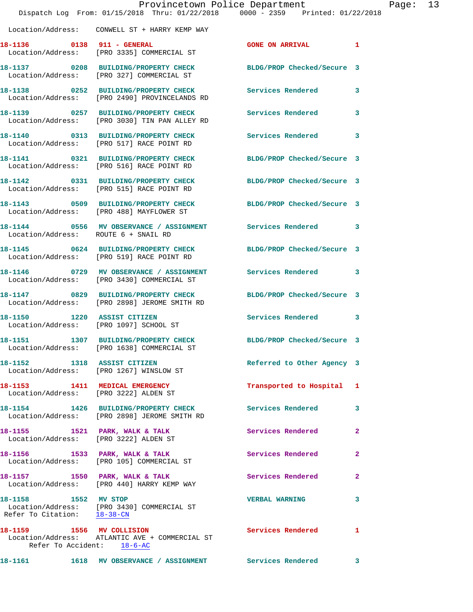|                                                         | Dispatch Log From: 01/15/2018 Thru: 01/22/2018 0000 - 2359 Printed: 01/22/2018                          | Provincetown Police Department | F              |
|---------------------------------------------------------|---------------------------------------------------------------------------------------------------------|--------------------------------|----------------|
|                                                         | Location/Address: CONWELL ST + HARRY KEMP WAY                                                           |                                |                |
| 18-1136 0138 911 - GENERAL                              | Location/Address: [PRO 3335] COMMERCIAL ST                                                              | <b>GONE ON ARRIVAL</b>         | 1              |
|                                                         | 18-1137 0208 BUILDING/PROPERTY CHECK<br>Location/Address: [PRO 327] COMMERCIAL ST                       | BLDG/PROP Checked/Secure 3     |                |
|                                                         | 18-1138 0252 BUILDING/PROPERTY CHECK<br>Location/Address: [PRO 2490] PROVINCELANDS RD                   | Services Rendered              | 3              |
|                                                         | 18-1139 0257 BUILDING/PROPERTY CHECK<br>Location/Address: [PRO 3030] TIN PAN ALLEY RD                   | Services Rendered              | 3              |
|                                                         | 18-1140 0313 BUILDING/PROPERTY CHECK<br>Location/Address: [PRO 517] RACE POINT RD                       | Services Rendered              | 3              |
|                                                         | 18-1141 0321 BUILDING/PROPERTY CHECK<br>Location/Address: [PRO 516] RACE POINT RD                       | BLDG/PROP Checked/Secure 3     |                |
|                                                         | 18-1142 0331 BUILDING/PROPERTY CHECK<br>Location/Address: [PRO 515] RACE POINT RD                       | BLDG/PROP Checked/Secure 3     |                |
|                                                         | 18-1143 0509 BUILDING/PROPERTY CHECK<br>Location/Address: [PRO 488] MAYFLOWER ST                        | BLDG/PROP Checked/Secure 3     |                |
| Location/Address: ROUTE 6 + SNAIL RD                    | 18-1144 0556 MV OBSERVANCE / ASSIGNMENT Services Rendered                                               |                                | 3              |
|                                                         | 18-1145 0624 BUILDING/PROPERTY CHECK<br>Location/Address: [PRO 519] RACE POINT RD                       | BLDG/PROP Checked/Secure 3     |                |
|                                                         | 18-1146 0729 MV OBSERVANCE / ASSIGNMENT Services Rendered<br>Location/Address: [PRO 3430] COMMERCIAL ST |                                | 3              |
|                                                         | 18-1147 0829 BUILDING/PROPERTY CHECK<br>Location/Address: [PRO 2898] JEROME SMITH RD                    | BLDG/PROP Checked/Secure 3     |                |
| 18-1150 1220 ASSIST CITIZEN                             | Location/Address: [PRO 1097] SCHOOL ST                                                                  | Services Rendered              | 3              |
| 18-1151                                                 | 1307 BUILDING/PROPERTY CHECK<br>Location/Address: [PRO 1638] COMMERCIAL ST                              | BLDG/PROP Checked/Secure 3     |                |
|                                                         | 18-1152 1318 ASSIST CITIZEN<br>Location/Address: [PRO 1267] WINSLOW ST                                  | Referred to Other Agency 3     |                |
|                                                         | 18-1153 1411 MEDICAL EMERGENCY<br>Location/Address: [PRO 3222] ALDEN ST                                 | Transported to Hospital        | 1              |
|                                                         | 18-1154 1426 BUILDING/PROPERTY CHECK<br>Location/Address: [PRO 2898] JEROME SMITH RD                    | <b>Services Rendered</b>       | 3              |
| Location/Address: [PRO 3222] ALDEN ST                   | 18-1155 1521 PARK, WALK & TALK                                                                          | <b>Services Rendered</b>       | $\mathbf{2}$   |
|                                                         | 18-1156 1533 PARK, WALK & TALK<br>Location/Address: [PRO 105] COMMERCIAL ST                             | <b>Services Rendered</b>       | $\overline{a}$ |
|                                                         | 18-1157 1550 PARK, WALK & TALK<br>Location/Address: [PRO 440] HARRY KEMP WAY                            | <b>Services Rendered</b>       | 2              |
| 18-1158 1552 MV STOP                                    | Location/Address: [PRO 3430] COMMERCIAL ST<br>Refer To Citation: 18-38-CN                               | <b>VERBAL WARNING</b>          | 3              |
| 18-1159 1556 MV COLLISION<br>Refer To Accident: 18-6-AC | Location/Address: ATLANTIC AVE + COMMERCIAL ST                                                          | <b>Services Rendered</b>       | 1              |
|                                                         |                                                                                                         |                                | 3              |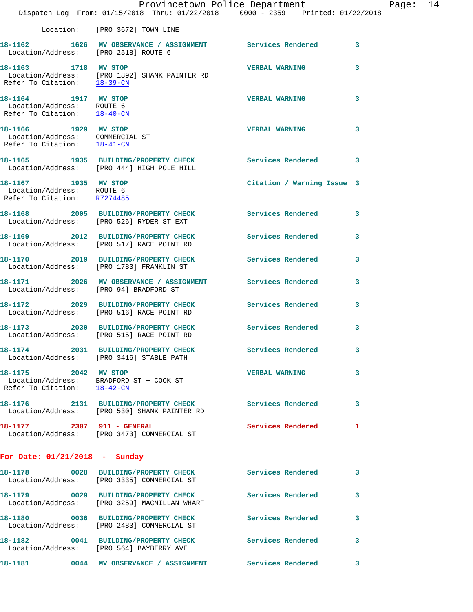|                                                                                        | Dispatch Log From: 01/15/2018 Thru: 01/22/2018 0000 - 2359 Printed: 01/22/2018                           | Provincetown Police Department | Page: 14 |
|----------------------------------------------------------------------------------------|----------------------------------------------------------------------------------------------------------|--------------------------------|----------|
|                                                                                        |                                                                                                          |                                |          |
|                                                                                        | Location: [PRO 3672] TOWN LINE                                                                           |                                |          |
| Location/Address: [PRO 2518] ROUTE 6                                                   | 18-1162 1626 MV OBSERVANCE / ASSIGNMENT Services Rendered 3                                              |                                |          |
| 18-1163 1718 MV STOP                                                                   | Location/Address: [PRO 1892] SHANK PAINTER RD<br>Refer To Citation: $\frac{18-39-CN}{28}$                | <b>VERBAL WARNING</b><br>3     |          |
| 18-1164 1917 MV STOP<br>Location/Address: ROUTE 6<br>Refer To Citation: 18-40-CN       |                                                                                                          | <b>VERBAL WARNING</b><br>3     |          |
| 18-1166 1929 MV STOP<br>Location/Address: COMMERCIAL ST<br>Refer To Citation: 18-41-CN |                                                                                                          | VERBAL WARNING 3               |          |
|                                                                                        | 18-1165 1935 BUILDING/PROPERTY CHECK Services Rendered 3<br>Location/Address: [PRO 444] HIGH POLE HILL   |                                |          |
| 18-1167 1935 MV STOP<br>Location/Address: ROUTE 6<br>Refer To Citation: R7274485       |                                                                                                          | Citation / Warning Issue 3     |          |
|                                                                                        | 18-1168 2005 BUILDING/PROPERTY CHECK Services Rendered<br>Location/Address: [PRO 526] RYDER ST EXT       | 3                              |          |
|                                                                                        | 18-1169 2012 BUILDING/PROPERTY CHECK Services Rendered<br>Location/Address: [PRO 517] RACE POINT RD      | $\mathbf{3}$                   |          |
|                                                                                        | 18-1170 2019 BUILDING/PROPERTY CHECK Services Rendered 3<br>Location/Address: [PRO 1783] FRANKLIN ST     |                                |          |
|                                                                                        | 18-1171 2026 MV OBSERVANCE / ASSIGNMENT Services Rendered<br>Location/Address: [PRO 94] BRADFORD ST      | 3                              |          |
|                                                                                        | 18-1172 2029 BUILDING/PROPERTY CHECK Services Rendered 3<br>Location/Address: [PRO 516] RACE POINT RD    |                                |          |
|                                                                                        | 18-1173 2030 BUILDING/PROPERTY CHECK Services Rendered<br>Location/Address: [PRO 515] RACE POINT RD      | 3                              |          |
|                                                                                        | 18-1174 2031 BUILDING/PROPERTY CHECK<br>Location/Address: [PRO 3416] STABLE PATH                         | Services Rendered              |          |
| 18-1175 2042 MV STOP<br>Refer To Citation: 18-42-CN                                    | Location/Address: BRADFORD ST + COOK ST                                                                  | VERBAL WARNING 3               |          |
|                                                                                        | 18-1176 2131 BUILDING/PROPERTY CHECK Services Rendered<br>Location/Address: [PRO 530] SHANK PAINTER RD   | 3                              |          |
|                                                                                        | 18-1177 2307 911 - GENERAL<br>Location/Address: [PRO 3473] COMMERCIAL ST                                 | Services Rendered 1            |          |
| For Date: $01/21/2018$ - Sunday                                                        |                                                                                                          |                                |          |
|                                                                                        | 18-1178 0028 BUILDING/PROPERTY CHECK Services Rendered 3<br>Location/Address: [PRO 3335] COMMERCIAL ST   |                                |          |
|                                                                                        | 18-1179 0029 BUILDING/PROPERTY CHECK Services Rendered 3<br>Location/Address: [PRO 3259] MACMILLAN WHARF |                                |          |
|                                                                                        | 18-1180 0036 BUILDING/PROPERTY CHECK Services Rendered<br>Location/Address: [PRO 2483] COMMERCIAL ST     | 3                              |          |
| 18-1182                                                                                | 0041 BUILDING/PROPERTY CHECK Services Rendered 3<br>Location/Address: [PRO 564] BAYBERRY AVE             |                                |          |
| 18–1181                                                                                | 0044 MV OBSERVANCE / ASSIGNMENT Services Rendered 3                                                      |                                |          |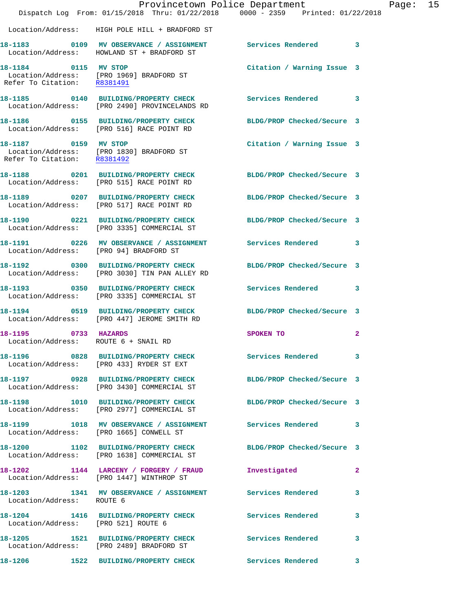|                                                              |                                                                                                    | Provincetown Police Department<br>Dispatch Log From: 01/15/2018 Thru: 01/22/2018 0000 - 2359 Printed: 01/22/2018 | Page: 15 |  |
|--------------------------------------------------------------|----------------------------------------------------------------------------------------------------|------------------------------------------------------------------------------------------------------------------|----------|--|
|                                                              | Location/Address: HIGH POLE HILL + BRADFORD ST                                                     |                                                                                                                  |          |  |
|                                                              | Location/Address: HOWLAND ST + BRADFORD ST                                                         | 18-1183 0109 MV OBSERVANCE / ASSIGNMENT Services Rendered 3                                                      |          |  |
|                                                              | 18-1184 0115 MV STOP<br>Location/Address: [PRO 1969] BRADFORD ST<br>Refer To Citation: R8381491    | Citation / Warning Issue 3                                                                                       |          |  |
|                                                              | Location/Address: [PRO 2490] PROVINCELANDS RD                                                      | 18-1185 0140 BUILDING/PROPERTY CHECK Services Rendered 3                                                         |          |  |
|                                                              | Location/Address: [PRO 516] RACE POINT RD                                                          | 18-1186  0155 BUILDING/PROPERTY CHECK BLDG/PROP Checked/Secure 3                                                 |          |  |
| 18-1187 0159 MV STOP<br>Refer To Citation: R8381492          | Location/Address: [PRO 1830] BRADFORD ST                                                           | Citation / Warning Issue 3                                                                                       |          |  |
|                                                              | Location/Address: [PRO 515] RACE POINT RD                                                          | 18-1188 0201 BUILDING/PROPERTY CHECK BLDG/PROP Checked/Secure 3                                                  |          |  |
|                                                              | Location/Address: [PRO 517] RACE POINT RD                                                          | 18-1189 0207 BUILDING/PROPERTY CHECK BLDG/PROP Checked/Secure 3                                                  |          |  |
|                                                              | Location/Address: [PRO 3335] COMMERCIAL ST                                                         | 18-1190 0221 BUILDING/PROPERTY CHECK BLDG/PROP Checked/Secure 3                                                  |          |  |
| Location/Address: [PRO 94] BRADFORD ST                       |                                                                                                    | 18-1191 0226 MV OBSERVANCE / ASSIGNMENT Services Rendered 3                                                      |          |  |
|                                                              | Location/Address: [PRO 3030] TIN PAN ALLEY RD                                                      | 18-1192 0300 BUILDING/PROPERTY CHECK BLDG/PROP Checked/Secure 3                                                  |          |  |
|                                                              | 18-1193 0350 BUILDING/PROPERTY CHECK<br>Location/Address: [PRO 3335] COMMERCIAL ST                 | Services Rendered 3                                                                                              |          |  |
|                                                              | Location/Address: [PRO 447] JEROME SMITH RD                                                        | 18-1194 0519 BUILDING/PROPERTY CHECK BLDG/PROP Checked/Secure 3                                                  |          |  |
| 18-1195 0733 HAZARDS<br>Location/Address: ROUTE 6 + SNAIL RD |                                                                                                    | SPOKEN TO<br>$\mathbf{2}$                                                                                        |          |  |
|                                                              | Location/Address: [PRO 433] RYDER ST EXT                                                           | 18-1196 0828 BUILDING/PROPERTY CHECK Services Rendered 3                                                         |          |  |
|                                                              | Location/Address: [PRO 3430] COMMERCIAL ST                                                         | 18-1197 0928 BUILDING/PROPERTY CHECK BLDG/PROP Checked/Secure 3                                                  |          |  |
|                                                              | Location/Address: [PRO 2977] COMMERCIAL ST                                                         | 18-1198 1010 BUILDING/PROPERTY CHECK BLDG/PROP Checked/Secure 3                                                  |          |  |
|                                                              | Location/Address: [PRO 1665] CONWELL ST                                                            | 18-1199 1018 MV OBSERVANCE / ASSIGNMENT Services Rendered 3                                                      |          |  |
|                                                              | Location/Address: [PRO 1638] COMMERCIAL ST                                                         | 18-1200 1102 BUILDING/PROPERTY CHECK BLDG/PROP Checked/Secure 3                                                  |          |  |
|                                                              | 18-1202 1144 LARCENY / FORGERY / FRAUD<br>Location/Address: [PRO 1447] WINTHROP ST                 | Investigated<br>$\mathbf{2}$                                                                                     |          |  |
| Location/Address: ROUTE 6                                    |                                                                                                    | 18-1203 1341 MV OBSERVANCE / ASSIGNMENT Services Rendered 3                                                      |          |  |
| Location/Address: [PRO 521] ROUTE 6                          | 18-1204 1416 BUILDING/PROPERTY CHECK Services Rendered                                             | 3                                                                                                                |          |  |
|                                                              | 18-1205 1521 BUILDING/PROPERTY CHECK Services Rendered<br>Location/Address: [PRO 2489] BRADFORD ST | 3                                                                                                                |          |  |
| 18-1206                                                      |                                                                                                    | 1522 BUILDING/PROPERTY CHECK Services Rendered 3                                                                 |          |  |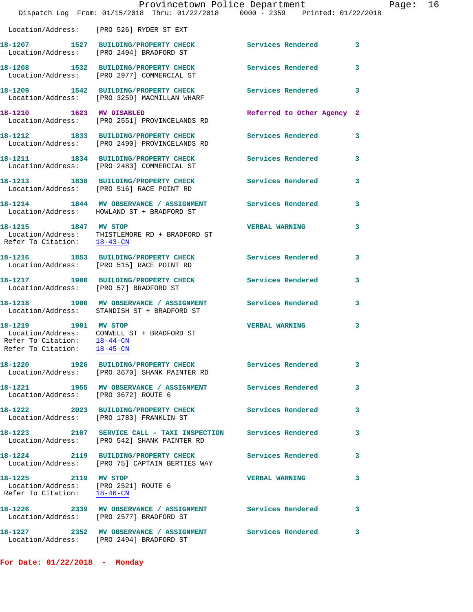|                                                                                             |                                                                                                               | Provincetown Police Department | Page: 16                |
|---------------------------------------------------------------------------------------------|---------------------------------------------------------------------------------------------------------------|--------------------------------|-------------------------|
|                                                                                             | Dispatch Log From: 01/15/2018 Thru: 01/22/2018 0000 - 2359 Printed: 01/22/2018                                |                                |                         |
|                                                                                             | Location/Address: [PRO 526] RYDER ST EXT                                                                      |                                |                         |
|                                                                                             | 18-1207 1527 BUILDING/PROPERTY CHECK Services Rendered 3<br>Location/Address: [PRO 2494] BRADFORD ST          |                                |                         |
|                                                                                             | 18-1208 1532 BUILDING/PROPERTY CHECK Services Rendered 3<br>Location/Address: [PRO 2977] COMMERCIAL ST        |                                |                         |
|                                                                                             | 18-1209 1542 BUILDING/PROPERTY CHECK Services Rendered 3<br>Location/Address: [PRO 3259] MACMILLAN WHARF      |                                |                         |
| 18-1210 1623 MV DISABLED                                                                    | Location/Address: [PRO 2551] PROVINCELANDS RD                                                                 | Referred to Other Agency 2     |                         |
|                                                                                             | 18-1212 1833 BUILDING/PROPERTY CHECK<br>Location/Address: [PRO 2490] PROVINCELANDS RD                         | Services Rendered 3            |                         |
|                                                                                             | 18-1211 1834 BUILDING/PROPERTY CHECK Services Rendered<br>Location/Address: [PRO 2483] COMMERCIAL ST          |                                | $\overline{\mathbf{3}}$ |
|                                                                                             | 18-1213 1838 BUILDING/PROPERTY CHECK Services Rendered 3<br>Location/Address: [PRO 516] RACE POINT RD         |                                |                         |
|                                                                                             | 18-1214 1844 MV OBSERVANCE / ASSIGNMENT Services Rendered 3<br>Location/Address: HOWLAND ST + BRADFORD ST     |                                |                         |
| 18-1215 1847 MV STOP<br>Refer To Citation: 18-43-CN                                         | Location/Address: THISTLEMORE RD + BRADFORD ST                                                                | <b>VERBAL WARNING</b>          | 3                       |
|                                                                                             | 18-1216 1853 BUILDING/PROPERTY CHECK Services Rendered<br>Location/Address: [PRO 515] RACE POINT RD           |                                | 3                       |
| Location/Address: [PRO 57] BRADFORD ST                                                      | 18-1217 1900 BUILDING/PROPERTY CHECK Services Rendered 3                                                      |                                |                         |
|                                                                                             | 18-1218 1900 MV OBSERVANCE / ASSIGNMENT Services Rendered 3<br>Location/Address: STANDISH ST + BRADFORD ST    |                                |                         |
| 18-1219 1901 MV STOP<br>Refer To Citation: 18-44-CN<br>Refer To Citation: 18-45-CN          | Location/Address: CONWELL ST + BRADFORD ST                                                                    | <b>VERBAL WARNING</b>          | 3                       |
|                                                                                             | 18-1220 1926 BUILDING/PROPERTY CHECK Services Rendered<br>Location/Address: [PRO 3670] SHANK PAINTER RD       |                                | 3                       |
| Location/Address: [PRO 3672] ROUTE 6                                                        | 18-1221 1955 MV OBSERVANCE / ASSIGNMENT Services Rendered                                                     |                                | 3                       |
|                                                                                             | 18-1222 2023 BUILDING/PROPERTY CHECK Services Rendered<br>Location/Address: [PRO 1783] FRANKLIN ST            |                                | 3                       |
|                                                                                             | 18-1223 2107 SERVICE CALL - TAXI INSPECTION Services Rendered<br>Location/Address: [PRO 542] SHANK PAINTER RD |                                | 3                       |
|                                                                                             | 18-1224 2119 BUILDING/PROPERTY CHECK<br>Location/Address: [PRO 75] CAPTAIN BERTIES WAY                        | Services Rendered              | 3                       |
| 18-1225 2119 MV STOP<br>Location/Address: [PRO 2521] ROUTE 6<br>Refer To Citation: 18-46-CN |                                                                                                               | <b>VERBAL WARNING</b>          | 3                       |
|                                                                                             | 18-1226 2339 MV OBSERVANCE / ASSIGNMENT Services Rendered<br>Location/Address: [PRO 2577] BRADFORD ST         |                                | 3                       |
|                                                                                             | 18-1227 2352 MV OBSERVANCE / ASSIGNMENT Services Rendered<br>Location/Address: [PRO 2494] BRADFORD ST         |                                | 3                       |

**For Date: 01/22/2018 - Monday**